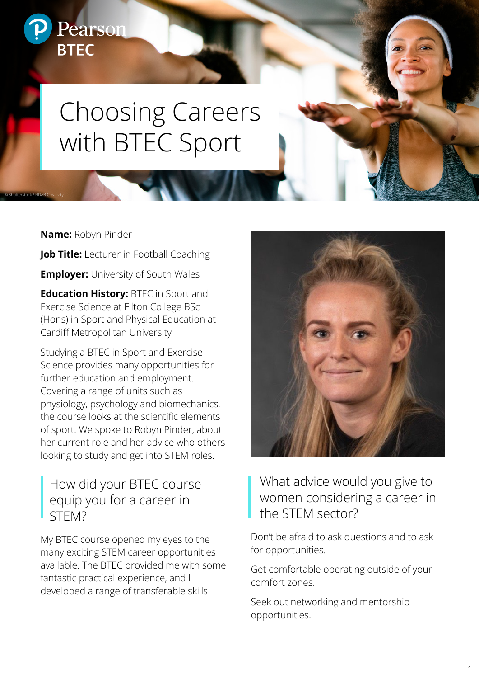# Choosing Careers with BTEC Sport

**Name:** Robyn Pinder

Pearson

**BTEC** 

© Shutterstock / NDAB Creativity

**Job Title:** Lecturer in Football Coaching

**Employer:** University of South Wales

**Education History:** BTEC in Sport and Exercise Science at Filton College BSc (Hons) in Sport and Physical Education at Cardiff Metropolitan University

Studying a BTEC in Sport and Exercise Science provides many opportunities for further education and employment. Covering a range of units such as physiology, psychology and biomechanics, the course looks at the scientific elements of sport. We spoke to Robyn Pinder, about her current role and her advice who others looking to study and get into STEM roles.

## How did your BTEC course equip you for a career in STEM?

My BTEC course opened my eyes to the many exciting STEM career opportunities available. The BTEC provided me with some fantastic practical experience, and I developed a range of transferable skills.



# What advice would you give to women considering a career in the STEM sector?

Don't be afraid to ask questions and to ask for opportunities.

Get comfortable operating outside of your comfort zones.

Seek out networking and mentorship opportunities.